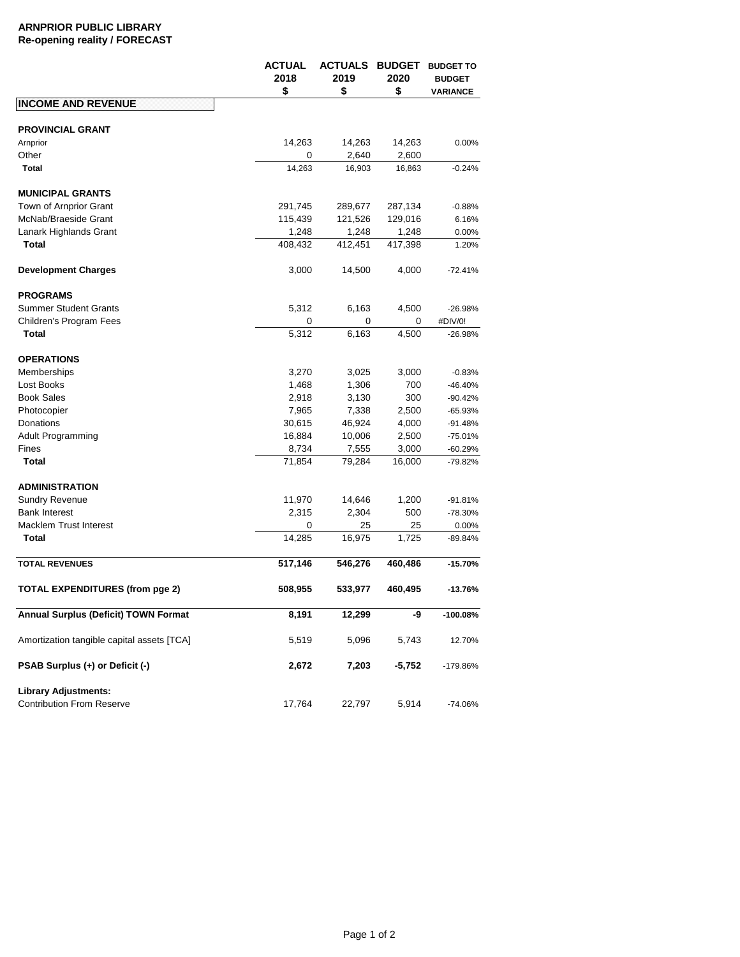## **ARNPRIOR PUBLIC LIBRARY Re-opening reality / FORECAST**

|                                                                 | ACTUAL<br>2018<br>\$ | <b>ACTUALS</b><br>2019<br>\$ | <b>BUDGET</b><br>2020<br>\$ | <b>BUDGET TO</b><br><b>BUDGET</b><br>VARIANCE |
|-----------------------------------------------------------------|----------------------|------------------------------|-----------------------------|-----------------------------------------------|
| <b>INCOME AND REVENUE</b>                                       |                      |                              |                             |                                               |
|                                                                 |                      |                              |                             |                                               |
| <b>PROVINCIAL GRANT</b>                                         |                      |                              |                             |                                               |
| Arnprior                                                        | 14,263               | 14,263                       | 14,263                      | 0.00%                                         |
| Other<br>Total                                                  | 0<br>14,263          | 2,640<br>16,903              | 2,600<br>16,863             | $-0.24%$                                      |
|                                                                 |                      |                              |                             |                                               |
| <b>MUNICIPAL GRANTS</b>                                         |                      |                              |                             |                                               |
| Town of Arnprior Grant                                          | 291,745              | 289,677                      | 287,134                     | $-0.88%$                                      |
| McNab/Braeside Grant                                            | 115,439              | 121,526                      | 129,016                     | 6.16%                                         |
| Lanark Highlands Grant                                          | 1,248                | 1,248                        | 1,248                       | 0.00%                                         |
| Total                                                           | 408,432              | 412,451                      | 417,398                     | 1.20%                                         |
| <b>Development Charges</b>                                      | 3,000                | 14,500                       | 4,000                       | $-72.41%$                                     |
| <b>PROGRAMS</b>                                                 |                      |                              |                             |                                               |
| <b>Summer Student Grants</b>                                    | 5,312                | 6,163                        | 4,500                       | $-26.98%$                                     |
| Children's Program Fees                                         | 0                    | 0                            | 0                           | #DIV/0!                                       |
| <b>Total</b>                                                    | 5,312                | 6,163                        | 4,500                       | $-26.98%$                                     |
|                                                                 |                      |                              |                             |                                               |
| <b>OPERATIONS</b>                                               |                      |                              |                             |                                               |
| Memberships                                                     | 3,270                | 3,025                        | 3,000                       | $-0.83%$                                      |
| Lost Books                                                      | 1,468                | 1,306                        | 700                         | $-46.40%$                                     |
| <b>Book Sales</b>                                               | 2,918                | 3,130                        | 300                         | $-90.42%$                                     |
| Photocopier                                                     | 7,965                | 7,338                        | 2,500                       | $-65.93%$                                     |
| Donations                                                       | 30,615               | 46,924                       | 4,000                       | $-91.48%$                                     |
| Adult Programming                                               | 16,884               | 10,006                       | 2,500                       | $-75.01%$                                     |
| Fines                                                           | 8,734                | 7,555                        | 3,000                       | -60.29%                                       |
| Total                                                           | 71,854               | 79,284                       | 16,000                      | -79.82%                                       |
| <b>ADMINISTRATION</b>                                           |                      |                              |                             |                                               |
| <b>Sundry Revenue</b>                                           | 11,970               | 14,646                       | 1,200                       | $-91.81%$                                     |
| <b>Bank Interest</b>                                            | 2,315                | 2,304                        | 500                         | $-78.30%$                                     |
| <b>Macklem Trust Interest</b>                                   | 0                    | 25                           | 25                          | 0.00%                                         |
| <b>Total</b>                                                    | 14,285               | 16,975                       | 1,725                       | -89.84%                                       |
|                                                                 |                      |                              |                             |                                               |
| <b>TOTAL REVENUES</b>                                           | 517,146              | 546,276                      | 460,486                     | $-15.70%$                                     |
| TOTAL EXPENDITURES (from pge 2)                                 | 508,955              | 533,977                      | 460,495                     | $-13.76%$                                     |
| Annual Surplus (Deficit) TOWN Format                            | 8,191                | 12,299                       | -9                          | $-100.08%$                                    |
| Amortization tangible capital assets [TCA]                      | 5,519                | 5,096                        | 5,743                       | 12.70%                                        |
| PSAB Surplus (+) or Deficit (-)                                 | 2,672                | 7,203                        | $-5,752$                    | -179.86%                                      |
| <b>Library Adjustments:</b><br><b>Contribution From Reserve</b> | 17,764               | 22,797                       | 5,914                       | $-74.06%$                                     |